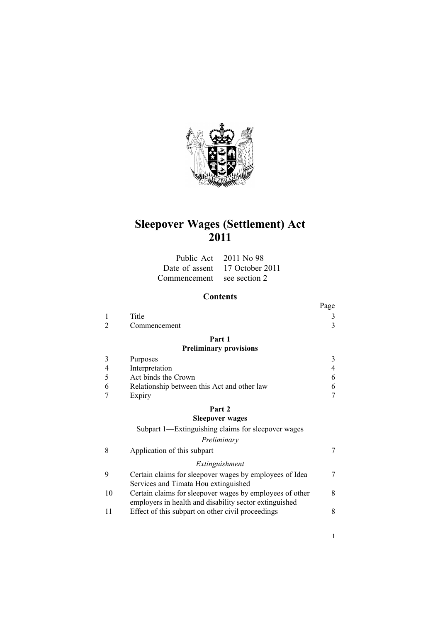

# **Sleepover Wages (Settlement) Act 2011**

|                            | Public Act 2011 No 98          |
|----------------------------|--------------------------------|
|                            | Date of assent 17 October 2011 |
| Commencement see section 2 |                                |

## **Contents**

|              | Page |
|--------------|------|
| Title        |      |
| Commencement |      |

# **[Part](#page-2-0) 1**

## **[Preliminary](#page-2-0) provisions**

| 6 |
|---|
| 6 |
|   |
|   |

## **[Part](#page-6-0) 2**

## **[Sleepover](#page-6-0) wages**

## [Subpart](#page-6-0) 1—[Extinguishing](#page-6-0) claims for sleepover wages

#### *[Preliminary](#page-6-0)*

|  | Application of this subpart |  |
|--|-----------------------------|--|
|--|-----------------------------|--|

## *[Extinguishment](#page-6-0)*

| Certain claims for sleepover wages by employees of Idea  |  |
|----------------------------------------------------------|--|
| Services and Timata Hou extinguished                     |  |
| Certain claims for sleepover wages by employees of other |  |
| employers in health and disability sector extinguished   |  |
| Effect of this subpart on other civil proceedings        |  |
|                                                          |  |

1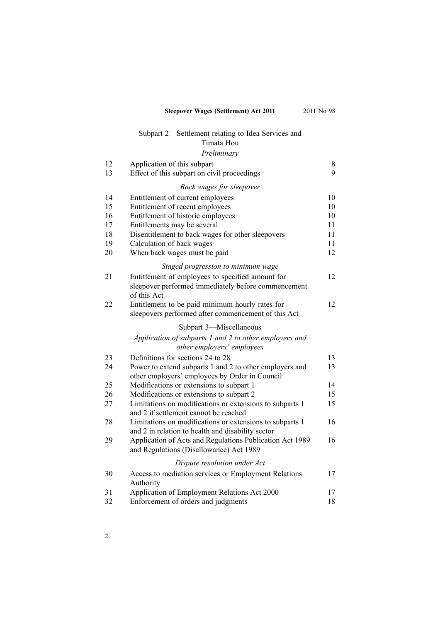|    | Subpart 2-Settlement relating to Idea Services and<br>Timata Hou                                              |    |
|----|---------------------------------------------------------------------------------------------------------------|----|
|    | Preliminary                                                                                                   |    |
| 12 | Application of this subpart                                                                                   | 8  |
| 13 | Effect of this subpart on civil proceedings                                                                   | 9  |
|    | Back wages for sleepover                                                                                      |    |
| 14 | Entitlement of current employees                                                                              | 10 |
| 15 | Entitlement of recent employees                                                                               | 10 |
| 16 | Entitlement of historic employees                                                                             | 10 |
| 17 | Entitlements may be several                                                                                   | 11 |
| 18 | Disentitlement to back wages for other sleepovers                                                             | 11 |
| 19 | Calculation of back wages                                                                                     | 11 |
| 20 | When back wages must be paid                                                                                  | 12 |
|    | Staged progression to minimum wage                                                                            |    |
| 21 | Entitlement of employees to specified amount for                                                              | 12 |
|    | sleepover performed immediately before commencement<br>of this Act                                            |    |
| 22 | Entitlement to be paid minimum hourly rates for                                                               | 12 |
|    | sleepovers performed after commencement of this Act                                                           |    |
|    | Subpart 3-Miscellaneous                                                                                       |    |
|    | Application of subparts 1 and 2 to other employers and<br>other employers' employees                          |    |
| 23 | Definitions for sections 24 to 28                                                                             | 13 |
| 24 | Power to extend subparts 1 and 2 to other employers and<br>other employers' employees by Order in Council     | 13 |
| 25 | Modifications or extensions to subpart 1                                                                      | 14 |
| 26 | Modifications or extensions to subpart 2                                                                      | 15 |
| 27 | Limitations on modifications or extensions to subparts 1<br>and 2 if settlement cannot be reached             | 15 |
| 28 | Limitations on modifications or extensions to subparts 1<br>and 2 in relation to health and disability sector | 16 |
| 29 | Application of Acts and Regulations Publication Act 1989<br>and Regulations (Disallowance) Act 1989           | 16 |
|    | Dispute resolution under Act                                                                                  |    |
| 30 | Access to mediation services or Employment Relations<br>Authority                                             | 17 |
| 31 | Application of Employment Relations Act 2000                                                                  | 17 |
| 32 | Enforcement of orders and judgments                                                                           | 18 |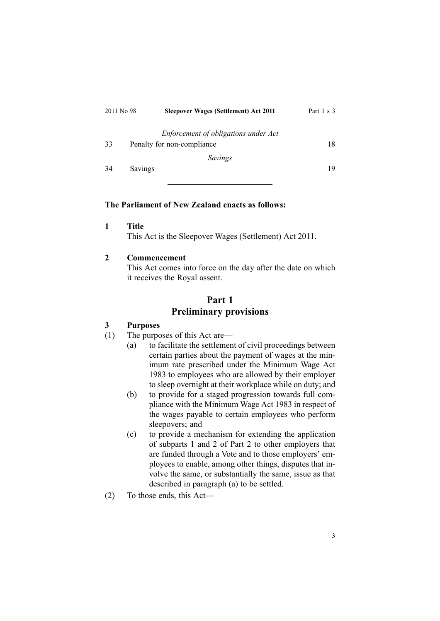<span id="page-2-0"></span>

| 2011 No 98 | <b>Sleepover Wages (Settlement) Act 2011</b> | Part 1 s 3 |
|------------|----------------------------------------------|------------|
|            | Enforcement of obligations under Act         |            |
| 33         | Penalty for non-compliance                   | 18         |
|            | Savings                                      |            |
| 34         | Savings                                      | 19         |

#### **The Parliament of New Zealand enacts as follows:**

**1 Title**

This Act is the Sleepover Wages (Settlement) Act 2011.

#### **2 Commencement**

This Act comes into force on the day after the date on which it receives the Royal assent.

### **Part 1 Preliminary provisions**

## **3 Purposes**

- (1) The purposes of this Act are—
	- (a) to facilitate the settlement of civil proceedings between certain parties about the paymen<sup>t</sup> of wages at the minimum rate prescribed under the [Minimum](http://www.legislation.govt.nz/pdflink.aspx?id=DLM74092) Wage Act [1983](http://www.legislation.govt.nz/pdflink.aspx?id=DLM74092) to employees who are allowed by their employer to sleep overnight at their workplace while on duty; and
	- (b) to provide for <sup>a</sup> staged progression towards full compliance with the [Minimum](http://www.legislation.govt.nz/pdflink.aspx?id=DLM74092) Wage Act 1983 in respec<sup>t</sup> of the wages payable to certain employees who perform sleepovers; and
	- (c) to provide <sup>a</sup> mechanism for extending the application of [subparts](#page-6-0) 1 and [2](#page-7-0) of Part 2 to other employers that are funded through <sup>a</sup> Vote and to those employers' employees to enable, among other things, disputes that involve the same, or substantially the same, issue as that described in paragraph (a) to be settled.
- (2) To those ends, this Act—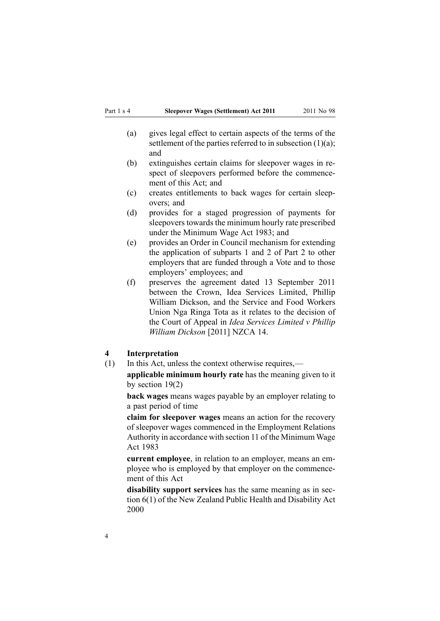- <span id="page-3-0"></span>(a) gives legal effect to certain aspects of the terms of the settlement of the parties referred to in subsection  $(1)(a)$ ; and
- (b) extinguishes certain claims for sleepover wages in respec<sup>t</sup> of sleepovers performed before the commencement of this Act; and
- (c) creates entitlements to back wages for certain sleepovers; and
- (d) provides for <sup>a</sup> staged progression of payments for sleepovers towards the minimum hourly rate prescribed under the [Minimum](http://www.legislation.govt.nz/pdflink.aspx?id=DLM74092) Wage Act 1983; and
- (e) provides an Order in Council mechanism for extending the application of [subparts](#page-6-0) 1 and [2](#page-7-0) of Part 2 to other employers that are funded through <sup>a</sup> Vote and to those employers' employees; and
- (f) preserves the agreemen<sup>t</sup> dated 13 September 2011 between the Crown, Idea Services Limited, Phillip William Dickson, and the Service and Food Workers Union Nga Ringa Tota as it relates to the decision of the Court of Appeal in *Idea Services Limited <sup>v</sup> Phillip William Dickson* [2011] NZCA 14.

#### **4 Interpretation**

(1) In this Act, unless the context otherwise requires,—

**applicable minimum hourly rate** has the meaning given to it by [section](#page-10-0) 19(2)

**back wages** means wages payable by an employer relating to <sup>a</sup> pas<sup>t</sup> period of time

**claim for sleepover wages** means an action for the recovery of sleepover wages commenced in the Employment Relations Authority in accordance with [section](http://www.legislation.govt.nz/pdflink.aspx?id=DLM74451) 11 of the Minimum Wage Act 1983

**current employee**, in relation to an employer, means an employee who is employed by that employer on the commencement of this Act

**disability suppor<sup>t</sup> services** has the same meaning as in [sec](http://www.legislation.govt.nz/pdflink.aspx?id=DLM80064)tion [6\(1\)](http://www.legislation.govt.nz/pdflink.aspx?id=DLM80064) of the New Zealand Public Health and Disability Act 2000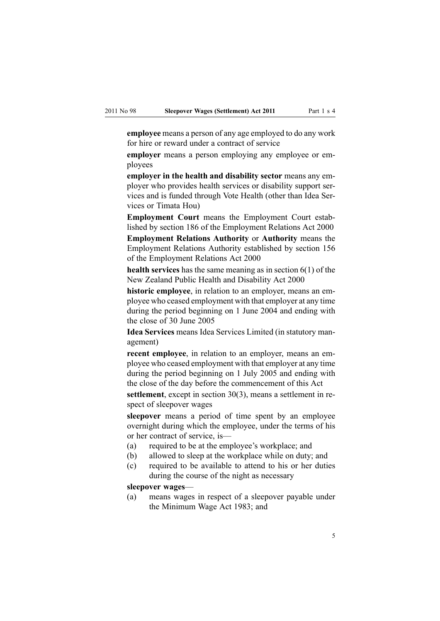**employee** means <sup>a</sup> person of any age employed to do any work for hire or reward under <sup>a</sup> contract of service

**employer** means <sup>a</sup> person employing any employee or employees

**employer in the health and disability sector** means any employer who provides health services or disability suppor<sup>t</sup> services and is funded through Vote Health (other than Idea Services or Timata Hou)

**Employment Court** means the Employment Court established by [section](http://www.legislation.govt.nz/pdflink.aspx?id=DLM60981) 186 of the Employment Relations Act 2000

**Employment Relations Authority** or **Authority** means the Employment Relations Authority established by [section](http://www.legislation.govt.nz/pdflink.aspx?id=DLM60932) 156 of the Employment Relations Act 2000

**health services** has the same meaning as in [section](http://www.legislation.govt.nz/pdflink.aspx?id=DLM80064) 6(1) of the New Zealand Public Health and Disability Act 2000

**historic employee**, in relation to an employer, means an employee who ceased employment with that employer at any time during the period beginning on 1 June 2004 and ending with the close of 30 June 2005

**Idea Services** means Idea Services Limited (in statutory management)

**recent employee**, in relation to an employer, means an employee who ceased employment with that employer at any time during the period beginning on 1 July 2005 and ending with the close of the day before the commencement of this Act

**settlement**, excep<sup>t</sup> in [section](#page-16-0) 30(3), means <sup>a</sup> settlement in respec<sup>t</sup> of sleepover wages

**sleepover** means <sup>a</sup> period of time spen<sup>t</sup> by an employee overnight during which the employee, under the terms of his or her contract of service, is—

- (a) required to be at the employee's workplace; and
- (b) allowed to sleep at the workplace while on duty; and
- (c) required to be available to attend to his or her duties during the course of the night as necessary

#### **sleepover wages**—

(a) means wages in respec<sup>t</sup> of <sup>a</sup> sleepover payable under the [Minimum](http://www.legislation.govt.nz/pdflink.aspx?id=DLM74092) Wage Act 1983; and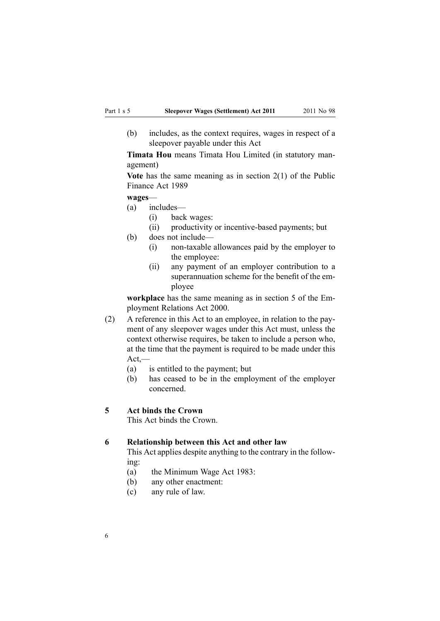<span id="page-5-0"></span>(b) includes, as the context requires, wages in respec<sup>t</sup> of <sup>a</sup> sleepover payable under this Act

**Timata Hou** means Timata Hou Limited (in statutory management)

**Vote** has the same meaning as in [section](http://www.legislation.govt.nz/pdflink.aspx?id=DLM160819) 2(1) of the Public Finance Act 1989

#### **wages**—

- (a) includes—
	- (i) back wages:
	- (ii) productivity or incentive-based payments; but
- (b) does not include—
	- (i) non-taxable allowances paid by the employer to the employee:
	- (ii) any paymen<sup>t</sup> of an employer contribution to <sup>a</sup> superannuation scheme for the benefit of the employee

**workplace** has the same meaning as in [section](http://www.legislation.govt.nz/pdflink.aspx?id=DLM58337) 5 of the Employment Relations Act 2000.

- (2) A reference in this Act to an employee, in relation to the payment of any sleepover wages under this Act must, unless the context otherwise requires, be taken to include <sup>a</sup> person who, at the time that the paymen<sup>t</sup> is required to be made under this Act,—
	- (a) is entitled to the payment; but
	- (b) has ceased to be in the employment of the employer concerned.

#### **5 Act binds the Crown**

This Act binds the Crown.

#### **6 Relationship between this Act and other law**

This Act applies despite anything to the contrary in the following:

- (a) the [Minimum](http://www.legislation.govt.nz/pdflink.aspx?id=DLM74092) Wage Act 1983:
- (b) any other enactment:
- (c) any rule of law.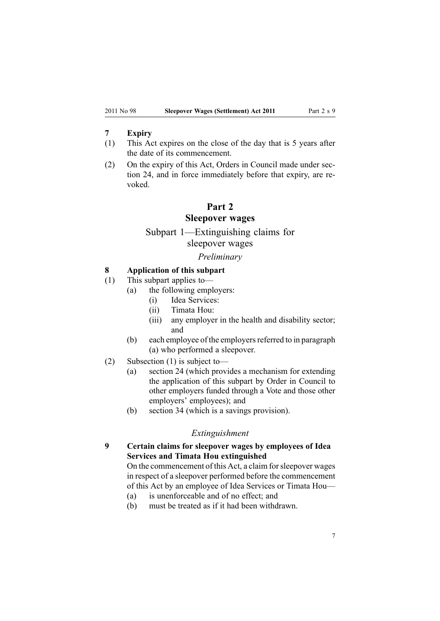#### <span id="page-6-0"></span>**7 Expiry**

- (1) This Act expires on the close of the day that is 5 years after the date of its commencement.
- (2) On the expiry of this Act, Orders in Council made under [sec](#page-12-0)[tion](#page-12-0) 24, and in force immediately before that expiry, are revoked.

#### **Part 2**

#### **Sleepover wages**

# Subpart 1—Extinguishing claims for

# sleepover wages

## *Preliminary*

## **8 Application of this subpart**

- (1) This subpart applies to—
	- (a) the following employers:
		- (i) Idea Services:
		- (ii) Timata Hou:
		- (iii) any employer in the health and disability sector; and
	- (b) each employee of the employers referred to in paragraph (a) who performed <sup>a</sup> sleepover.
- (2) Subsection (1) is subject to—
	- (a) [section](#page-12-0) 24 (which provides <sup>a</sup> mechanism for extending the application of this subpart by Order in Council to other employers funded through <sup>a</sup> Vote and those other employers' employees); and
	- (b) [section](#page-18-0) 34 (which is <sup>a</sup> savings provision).

#### *Extinguishment*

## **9 Certain claims for sleepover wages by employees of Idea Services and Timata Hou extinguished**

On the commencement of this Act, <sup>a</sup> claim forsleepover wages in respec<sup>t</sup> of <sup>a</sup> sleepover performed before the commencement of this Act by an employee of Idea Services or Timata Hou—

- (a) is unenforceable and of no effect; and
- (b) must be treated as if it had been withdrawn.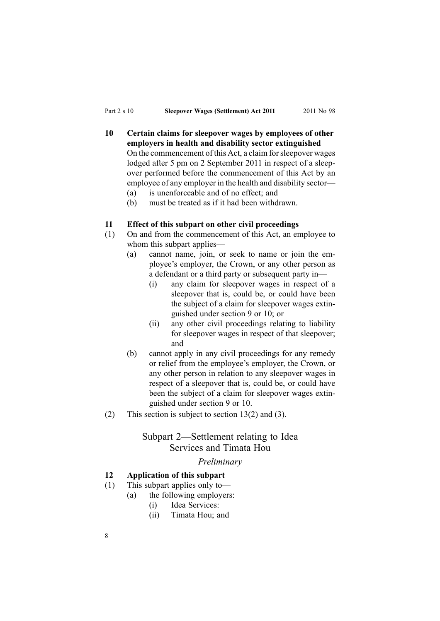- <span id="page-7-0"></span>**10 Certain claims for sleepover wages by employees of other employers in health and disability sector extinguished** On the commencement of this Act, <sup>a</sup> claim forsleepover wages lodged after 5 pm on 2 September 2011 in respec<sup>t</sup> of <sup>a</sup> sleepover performed before the commencement of this Act by an employee of any employer in the health and disability sector—
	- (a) is unenforceable and of no effect; and
	- (b) must be treated as if it had been withdrawn.

#### **11 Effect of this subpart on other civil proceedings**

- (1) On and from the commencement of this Act, an employee to whom this subpart applies—
	- (a) cannot name, join, or seek to name or join the employee's employer, the Crown, or any other person as <sup>a</sup> defendant or <sup>a</sup> third party or subsequent party in—
		- (i) any claim for sleepover wages in respec<sup>t</sup> of <sup>a</sup> sleepover that is, could be, or could have been the subject of <sup>a</sup> claim for sleepover wages extinguished under [section](#page-6-0) 9 or 10; or
		- (ii) any other civil proceedings relating to liability for sleepover wages in respec<sup>t</sup> of that sleepover; and
	- (b) cannot apply in any civil proceedings for any remedy or relief from the employee's employer, the Crown, or any other person in relation to any sleepover wages in respec<sup>t</sup> of <sup>a</sup> sleepover that is, could be, or could have been the subject of <sup>a</sup> claim for sleepover wages extinguished under [section](#page-6-0) 9 or 10.
- (2) This section is subject to [section](#page-8-0) 13(2) and (3).

## Subpart 2—Settlement relating to Idea Services and Timata Hou

#### *Preliminary*

#### **12 Application of this subpart**

- (1) This subpart applies only to—
	- (a) the following employers:
		- (i) Idea Services:
		- (ii) Timata Hou; and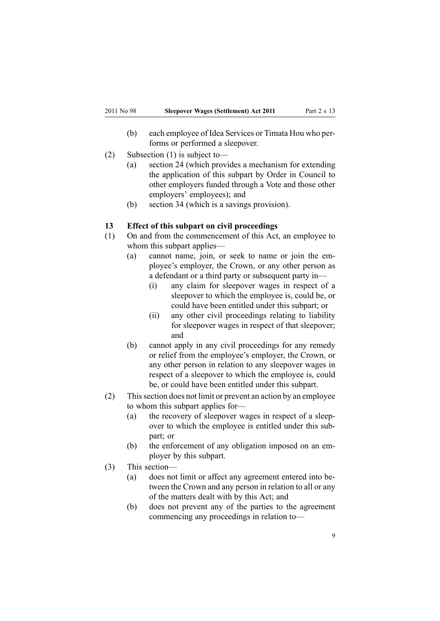- <span id="page-8-0"></span>(b) each employee of Idea Services or Timata Hou who performs or performed <sup>a</sup> sleepover.
- (2) Subsection (1) is subject to—
	- (a) [section](#page-12-0) 24 (which provides <sup>a</sup> mechanism for extending the application of this subpart by Order in Council to other employers funded through <sup>a</sup> Vote and those other employers' employees); and
	- (b) [section](#page-18-0) 34 (which is <sup>a</sup> savings provision).

#### **13 Effect of this subpart on civil proceedings**

- (1) On and from the commencement of this Act, an employee to whom this subpart applies—
	- (a) cannot name, join, or seek to name or join the employee's employer, the Crown, or any other person as <sup>a</sup> defendant or <sup>a</sup> third party or subsequent party in—
		- (i) any claim for sleepover wages in respec<sup>t</sup> of <sup>a</sup> sleepover to which the employee is, could be, or could have been entitled under this subpart; or
		- (ii) any other civil proceedings relating to liability for sleepover wages in respec<sup>t</sup> of that sleepover; and
	- (b) cannot apply in any civil proceedings for any remedy or relief from the employee's employer, the Crown, or any other person in relation to any sleepover wages in respec<sup>t</sup> of <sup>a</sup> sleepover to which the employee is, could be, or could have been entitled under this subpart.
- (2) Thissection does not limit or preven<sup>t</sup> an action by an employee to whom this subpart applies for—
	- (a) the recovery of sleepover wages in respec<sup>t</sup> of <sup>a</sup> sleepover to which the employee is entitled under this subpart; or
	- (b) the enforcement of any obligation imposed on an employer by this subpart.
- (3) This section—
	- (a) does not limit or affect any agreemen<sup>t</sup> entered into between the Crown and any person in relation to all or any of the matters dealt with by this Act; and
	- (b) does not preven<sup>t</sup> any of the parties to the agreemen<sup>t</sup> commencing any proceedings in relation to—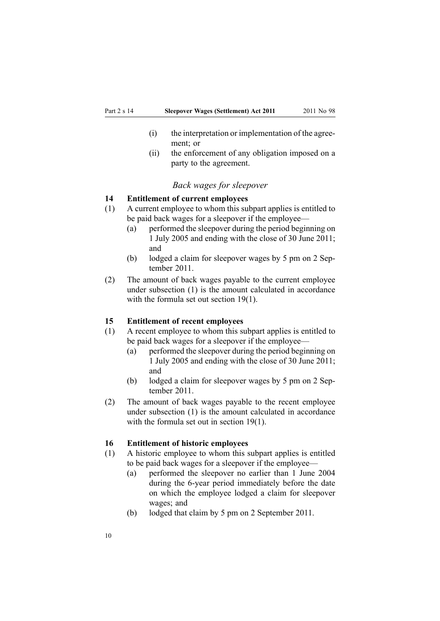- <span id="page-9-0"></span>(i) the interpretation or implementation of the agreement; or
- (ii) the enforcement of any obligation imposed on <sup>a</sup> party to the agreement.

#### *Back wages for sleepover*

#### **14 Entitlement of current employees**

- (1) A current employee to whom this subpart applies is entitled to be paid back wages for <sup>a</sup> sleepover if the employee—
	- (a) performed the sleepover during the period beginning on 1 July 2005 and ending with the close of 30 June 2011; and
	- (b) lodged <sup>a</sup> claim for sleepover wages by 5 pm on 2 September 2011.
- (2) The amount of back wages payable to the current employee under subsection (1) is the amount calculated in accordance with the formula set out [section](#page-10-0) 19(1).

#### **15 Entitlement of recent employees**

- (1) A recent employee to whom this subpart applies is entitled to be paid back wages for <sup>a</sup> sleepover if the employee—
	- (a) performed the sleepover during the period beginning on 1 July 2005 and ending with the close of 30 June 2011; and
	- (b) lodged <sup>a</sup> claim for sleepover wages by 5 pm on 2 September 2011.
- (2) The amount of back wages payable to the recent employee under subsection (1) is the amount calculated in accordance with the formula set out in [section](#page-10-0) 19(1).

#### **16 Entitlement of historic employees**

- (1) A historic employee to whom this subpart applies is entitled to be paid back wages for <sup>a</sup> sleepover if the employee—
	- (a) performed the sleepover no earlier than 1 June 2004 during the 6-year period immediately before the date on which the employee lodged <sup>a</sup> claim for sleepover wages; and
	- (b) lodged that claim by 5 pm on 2 September 2011.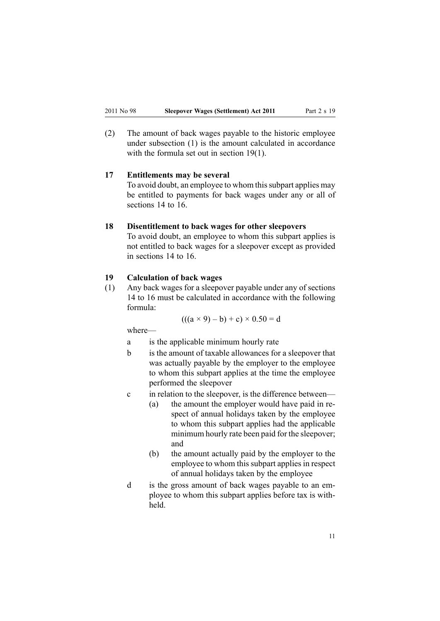<span id="page-10-0"></span>(2) The amount of back wages payable to the historic employee under subsection (1) is the amount calculated in accordance with the formula set out in section 19(1).

#### **17 Entitlements may be several**

To avoid doubt, an employee to whom this subpart applies may be entitled to payments for back wages under any or all of [sections](#page-9-0) 14 to 16.

#### **18 Disentitlement to back wages for other sleepovers**

To avoid doubt, an employee to whom this subpart applies is not entitled to back wages for <sup>a</sup> sleepover excep<sup>t</sup> as provided in [sections](#page-9-0) 14 to 16.

#### **19 Calculation of back wages**

(1) Any back wages for <sup>a</sup> sleepover payable under any of [sections](#page-9-0) 14 to [16](#page-9-0) must be calculated in accordance with the following formula:

$$
(((a \times 9) - b) + c) \times 0.50 = d
$$

where—

- <sup>a</sup> is the applicable minimum hourly rate
- b is the amount of taxable allowances for <sup>a</sup> sleepover that was actually payable by the employer to the employee to whom this subpart applies at the time the employee performed the sleepover
- <sup>c</sup> in relation to the sleepover, is the difference between—
	- (a) the amount the employer would have paid in respec<sup>t</sup> of annual holidays taken by the employee to whom this subpart applies had the applicable minimum hourly rate been paid for the sleepover; and
	- (b) the amount actually paid by the employer to the employee to whom this subpart applies in respec<sup>t</sup> of annual holidays taken by the employee
- d is the gross amount of back wages payable to an employee to whom this subpart applies before tax is withheld.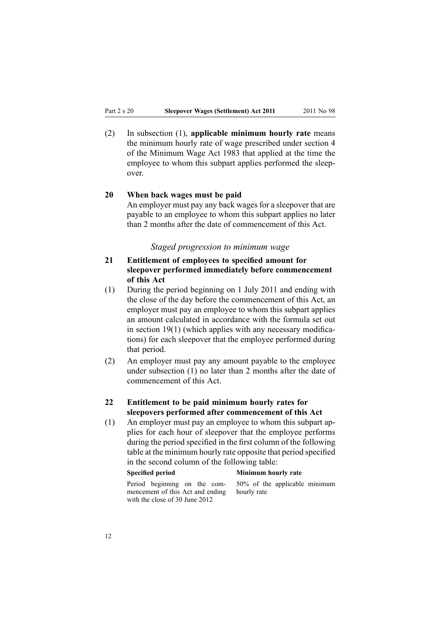<span id="page-11-0"></span>(2) In subsection (1), **applicable minimum hourly rate** means the minimum hourly rate of wage prescribed under [section](http://www.legislation.govt.nz/pdflink.aspx?id=DLM74414) 4 of the Minimum Wage Act 1983 that applied at the time the employee to whom this subpart applies performed the sleepover.

#### **20 When back wages must be paid**

An employer must pay any back wages for <sup>a</sup> sleepover that are payable to an employee to whom this subpart applies no later than 2 months after the date of commencement of this Act.

*Staged progression to minimum wage*

#### **21 Entitlement of employees to specified amount for sleepover performed immediately before commencement of this Act**

- (1) During the period beginning on 1 July 2011 and ending with the close of the day before the commencement of this Act, an employer must pay an employee to whom this subpart applies an amount calculated in accordance with the formula set out in [section](#page-10-0)  $19(1)$  (which applies with any necessary modifications) for each sleepover that the employee performed during that period.
- (2) An employer must pay any amount payable to the employee under subsection (1) no later than 2 months after the date of commencement of this Act.

### **22 Entitlement to be paid minimum hourly rates for sleepovers performed after commencement of this Act**

(1) An employer must pay an employee to whom this subpart applies for each hour of sleepover that the employee performs during the period specified in the first column of the following table at the minimum hourly rate opposite that period specified in the second column of the following table:

#### **Specified period Minimum hourly rate**

Period beginning on the commencement of this Act and ending with the close of 30 June 2012

50% of the applicable minimum hourly rate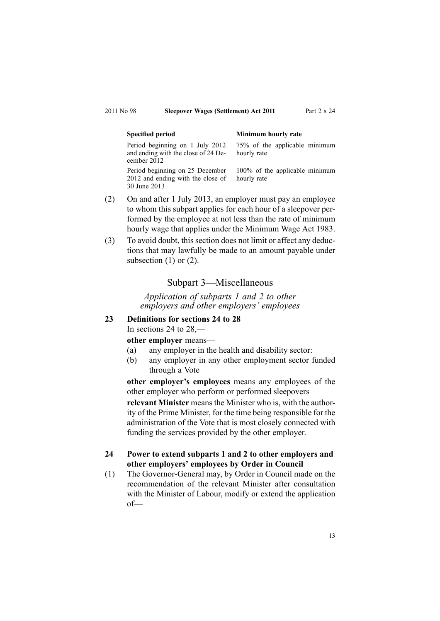#### <span id="page-12-0"></span>**Specified period Minimum hourly rate**

Period beginning on 1 July 2012 and ending with the close of 24 December 2012 Period beginning on 25 December 2012 and ending with the close of 30 June 2013

75% of the applicable minimum hourly rate

100% of the applicable minimum hourly rate

- (2) On and after 1 July 2013, an employer must pay an employee to whom this subpart applies for each hour of <sup>a</sup> sleepover performed by the employee at not less than the rate of minimum hourly wage that applies under the [Minimum](http://www.legislation.govt.nz/pdflink.aspx?id=DLM74092) Wage Act 1983.
- (3) To avoid doubt, this section does not limit or affect any deductions that may lawfully be made to an amount payable under subsection  $(1)$  or  $(2)$ .

#### Subpart 3—Miscellaneous

*Application of subparts 1 and 2 to other employers and other employers' employees*

#### **23 Definitions for sections 24 to 28**

In sections 24 to 28,—

**other employer** means—

- (a) any employer in the health and disability sector:
- (b) any employer in any other employment sector funded through <sup>a</sup> Vote

**other employer's employees** means any employees of the other employer who perform or performed sleepovers

**relevant Minister** means the Minister who is, with the authority of the Prime Minister, for the time being responsible for the administration of the Vote that is most closely connected with funding the services provided by the other employer.

#### **24 Power to extend subparts 1 and 2 to other employers and other employers' employees by Order in Council**

(1) The Governor-General may, by Order in Council made on the recommendation of the relevant Minister after consultation with the Minister of Labour, modify or extend the application of—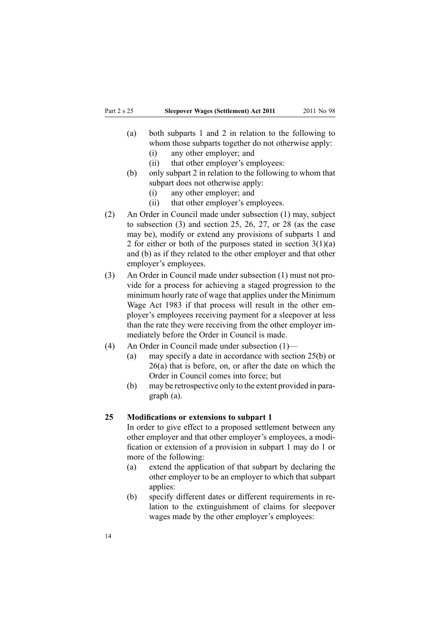- <span id="page-13-0"></span>(a) both [subparts](#page-6-0) 1 and [2](#page-7-0) in relation to the following to whom those subparts together do not otherwise apply: (i) any other employer; and
	-
	- (ii) that other employer's employees:
- (b) only [subpart](#page-7-0) 2 in relation to the following to whom that subpart does not otherwise apply:
	- (i) any other employer; and
	- (ii) that other employer's employees.
- (2) An Order in Council made under subsection (1) may, subject to subsection (3) and section 25, [26](#page-14-0), [27](#page-14-0), or [28](#page-15-0) (as the case may be), modify or extend any provisions of [subparts](#page-6-0) 1 and [2](#page-7-0) for either or both of the purposes stated in section  $3(1)(a)$ [and](#page-2-0) (b) as if they related to the other employer and that other employer's employees.
- (3) An Order in Council made under subsection (1) must not provide for <sup>a</sup> process for achieving <sup>a</sup> staged progression to the minimum hourly rate of wage that applies under the [Minimum](http://www.legislation.govt.nz/pdflink.aspx?id=DLM74092) [Wage](http://www.legislation.govt.nz/pdflink.aspx?id=DLM74092) Act 1983 if that process will result in the other employer's employees receiving paymen<sup>t</sup> for <sup>a</sup> sleepover at less than the rate they were receiving from the other employer immediately before the Order in Council is made.
- (4) An Order in Council made under subsection (1)—
	- (a) may specify <sup>a</sup> date in accordance with section 25(b) or [26\(a\)](#page-14-0) that is before, on, or after the date on which the Order in Council comes into force; but
	- (b) may be retrospective only to the extent provided in paragraph (a).

#### **25 Modifications or extensions to subpart 1**

In order to give effect to <sup>a</sup> proposed settlement between any other employer and that other employer's employees, <sup>a</sup> modification or extension of <sup>a</sup> provision in [subpart](#page-6-0) 1 may do 1 or more of the following:

- (a) extend the application of that subpart by declaring the other employer to be an employer to which that subpart applies:
- (b) specify different dates or different requirements in relation to the extinguishment of claims for sleepover wages made by the other employer's employees: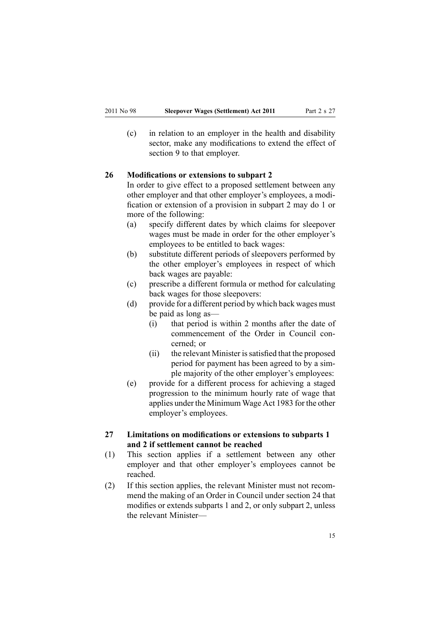<span id="page-14-0"></span>(c) in relation to an employer in the health and disability sector, make any modifications to extend the effect of [section](#page-6-0) 9 to that employer.

#### **26 Modifications or extensions to subpart 2**

In order to give effect to <sup>a</sup> proposed settlement between any other employer and that other employer's employees, <sup>a</sup> modification or extension of <sup>a</sup> provision in [subpart](#page-7-0) 2 may do 1 or more of the following:

- (a) specify different dates by which claims for sleepover wages must be made in order for the other employer's employees to be entitled to back wages:
- (b) substitute different periods of sleepovers performed by the other employer's employees in respec<sup>t</sup> of which back wages are payable:
- (c) prescribe <sup>a</sup> different formula or method for calculating back wages for those sleepovers:
- (d) provide for <sup>a</sup> different period by which back wages must be paid as long as—
	- (i) that period is within 2 months after the date of commencement of the Order in Council concerned; or
	- (ii) the relevant Minister issatisfied that the proposed period for paymen<sup>t</sup> has been agreed to by <sup>a</sup> simple majority of the other employer's employees:
- (e) provide for <sup>a</sup> different process for achieving <sup>a</sup> staged progression to the minimum hourly rate of wage that applies under the [Minimum](http://www.legislation.govt.nz/pdflink.aspx?id=DLM74092) Wage Act 1983 for the other employer's employees.

#### **27 Limitations on modifications or extensions to subparts 1 and 2 if settlement cannot be reached**

- (1) This section applies if <sup>a</sup> settlement between any other employer and that other employer's employees cannot be reached.
- (2) If this section applies, the relevant Minister must not recommend the making of an Order in Council under [section](#page-12-0) 24 that modifies or extends [subparts](#page-6-0) 1 and [2](#page-7-0), or only subpart 2, unless the relevant Minister—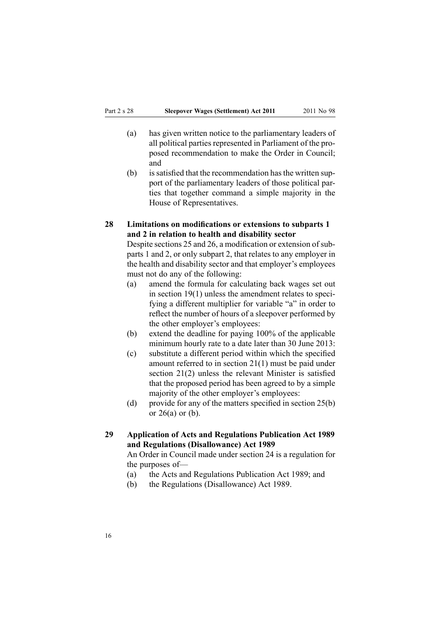- <span id="page-15-0"></span>(a) has given written notice to the parliamentary leaders of all political parties represented in Parliament of the proposed recommendation to make the Order in Council; and
- (b) is satisfied that the recommendation has the written suppor<sup>t</sup> of the parliamentary leaders of those political parties that together command <sup>a</sup> simple majority in the House of Representatives.

#### **28 Limitations on modifications or extensions to subparts 1 and 2 in relation to health and disability sector**

Despite [sections](#page-13-0) 25 and [26](#page-14-0), a modification or extension of sub[par](#page-6-0)ts 1 and [2](#page-7-0), or only subpart 2, that relates to any employer in the health and disability sector and that employer's employees must not do any of the following:

- (a) amend the formula for calculating back wages set out in [section](#page-10-0) 19(1) unless the amendment relates to specifying <sup>a</sup> different multiplier for variable "a" in order to reflect the number of hours of <sup>a</sup> sleepover performed by the other employer's employees:
- (b) extend the deadline for paying 100% of the applicable minimum hourly rate to <sup>a</sup> date later than 30 June 2013:
- (c) substitute <sup>a</sup> different period within which the specified amount referred to in [section](#page-11-0) 21(1) must be paid under section 21(2) unless the relevant Minister is satisfied that the proposed period has been agreed to by <sup>a</sup> simple majority of the other employer's employees:
- (d) provide for any of the matters specified in [section](#page-13-0)  $25(b)$ or  $26(a)$  or (b).

#### **29 Application of Acts and Regulations Publication Act 1989 and Regulations (Disallowance) Act 1989**

An Order in Council made under [section](#page-12-0) 24 is <sup>a</sup> regulation for the purposes of—

- (a) the Acts and [Regulations](http://www.legislation.govt.nz/pdflink.aspx?id=DLM195097) Publication Act 1989; and
- (b) the Regulations [\(Disallowance\)](http://www.legislation.govt.nz/pdflink.aspx?id=DLM195534) Act 1989.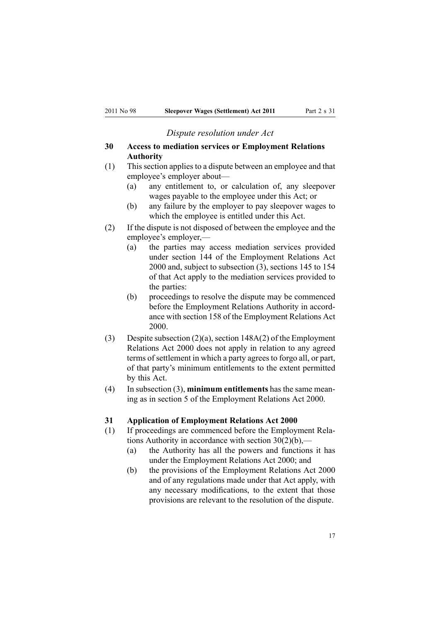#### *Dispute resolution under Act*

#### <span id="page-16-0"></span>**30 Access to mediation services or Employment Relations Authority**

- (1) Thissection appliesto <sup>a</sup> dispute between an employee and that employee's employer about—
	- (a) any entitlement to, or calculation of, any sleepover wages payable to the employee under this Act; or
	- (b) any failure by the employer to pay sleepover wages to which the employee is entitled under this Act.
- (2) If the dispute is not disposed of between the employee and the employee's employer,—
	- (a) the parties may access mediation services provided under [section](http://www.legislation.govt.nz/pdflink.aspx?id=DLM60909) 144 of the Employment Relations Act 2000 and, subject to subsection (3), [sections](http://www.legislation.govt.nz/pdflink.aspx?id=DLM60912) 145 to 154 of that Act apply to the mediation services provided to the parties:
	- (b) proceedings to resolve the dispute may be commenced before the Employment Relations Authority in accordance with [section](http://www.legislation.govt.nz/pdflink.aspx?id=DLM60935) 158 of the Employment Relations Act 2000.
- (3) Despite subsection (2)(a), section [148A\(2\)](http://www.legislation.govt.nz/pdflink.aspx?id=DLM3640697) of the Employment Relations Act 2000 does not apply in relation to any agreed terms of settlement in which <sup>a</sup> party agrees to forgo all, or part, of that party's minimum entitlements to the extent permitted by this Act.
- (4) In subsection (3), **minimum entitlements** has the same meaning as in [section](http://www.legislation.govt.nz/pdflink.aspx?id=DLM58337) 5 of the Employment Relations Act 2000.

#### **31 Application of Employment Relations Act 2000**

- (1) If proceedings are commenced before the Employment Relations Authority in accordance with section 30(2)(b),—
	- (a) the Authority has all the powers and functions it has under the [Employment](http://www.legislation.govt.nz/pdflink.aspx?id=DLM58316) Relations Act 2000; and
	- (b) the provisions of the [Employment](http://www.legislation.govt.nz/pdflink.aspx?id=DLM58316) Relations Act 2000 and of any regulations made under that Act apply, with any necessary modifications, to the extent that those provisions are relevant to the resolution of the dispute.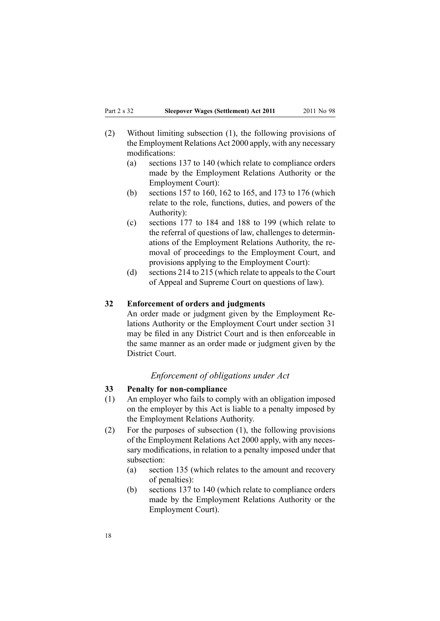- <span id="page-17-0"></span>(2) Without limiting subsection (1), the following provisions of the [Employment](http://www.legislation.govt.nz/pdflink.aspx?id=DLM58316) Relations Act 2000 apply, with any necessary modifications:
	- (a) [sections](http://www.legislation.govt.nz/pdflink.aspx?id=DLM60387) 137 to 140 (which relate to compliance orders made by the Employment Relations Authority or the Employment Court):
	- (b) [sections](http://www.legislation.govt.nz/pdflink.aspx?id=DLM60933) 157 to 160, 162 to [165](http://www.legislation.govt.nz/pdflink.aspx?id=DLM60945), and 173 to [176](http://www.legislation.govt.nz/pdflink.aspx?id=DLM60957) (which relate to the role, functions, duties, and powers of the Authority):
	- (c) [sections](http://www.legislation.govt.nz/pdflink.aspx?id=DLM60963) 177 to 184 and 188 to [199](http://www.legislation.govt.nz/pdflink.aspx?id=DLM60983) (which relate to the referral of questions of law, challenges to determinations of the Employment Relations Authority, the removal of proceedings to the Employment Court, and provisions applying to the Employment Court):
	- (d) [sections](http://www.legislation.govt.nz/pdflink.aspx?id=DLM61425) 214 to 215 (which relate to appeals to the Court of Appeal and Supreme Court on questions of law).

#### **32 Enforcement of orders and judgments**

An order made or judgment given by the Employment Relations Authority or the Employment Court under [section](#page-16-0) 31 may be filed in any District Court and is then enforceable in the same manner as an order made or judgment given by the District Court.

## *Enforcement of obligations under Act*

#### **33 Penalty for non-compliance**

- (1) An employer who fails to comply with an obligation imposed on the employer by this Act is liable to <sup>a</sup> penalty imposed by the Employment Relations Authority.
- (2) For the purposes of subsection (1), the following provisions of the [Employment](http://www.legislation.govt.nz/pdflink.aspx?id=DLM58316) Relations Act 2000 apply, with any necessary modifications, in relation to <sup>a</sup> penalty imposed under that subsection:
	- (a) [section](http://www.legislation.govt.nz/pdflink.aspx?id=DLM60382) 135 (which relates to the amount and recovery of penalties):
	- (b) [sections](http://www.legislation.govt.nz/pdflink.aspx?id=DLM60387) 137 to 140 (which relate to compliance orders made by the Employment Relations Authority or the Employment Court).